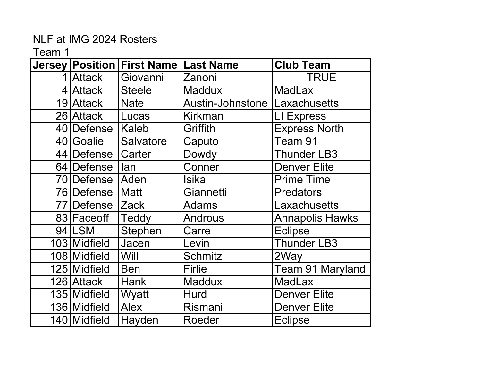|              | Jersey Position First Name Last Name |                  | <b>Club Team</b>       |
|--------------|--------------------------------------|------------------|------------------------|
| 1 Attack     | Giovanni                             | Zanoni           | <b>TRUE</b>            |
| 4 Attack     | <b>Steele</b>                        | <b>Maddux</b>    | <b>MadLax</b>          |
| 19 Attack    | <b>Nate</b>                          | Austin-Johnstone | <b>Laxachusetts</b>    |
| 26 Attack    | Lucas                                | <b>Kirkman</b>   | LI Express             |
| 40 Defense   | Kaleb                                | Griffith         | <b>Express North</b>   |
| 40 Goalie    | Salvatore                            | Caputo           | Team 91                |
| 44 Defense   | Carter                               | Dowdy            | <b>Thunder LB3</b>     |
| 64 Defense   | lan                                  | Conner           | <b>Denver Elite</b>    |
| 70 Defense   | Aden                                 | Isika            | <b>Prime Time</b>      |
| 76 Defense   | Matt                                 | Giannetti        | <b>Predators</b>       |
| 77 Defense   | <b>Zack</b>                          | <b>Adams</b>     | Laxachusetts           |
| 83 Faceoff   | Teddy                                | <b>Androus</b>   | <b>Annapolis Hawks</b> |
| 94 LSM       | Stephen                              | Carre            | <b>Eclipse</b>         |
| 103 Midfield | Jacen                                | Levin            | <b>Thunder LB3</b>     |
| 108 Midfield | Will                                 | <b>Schmitz</b>   | 2Way                   |
| 125 Midfield | <b>Ben</b>                           | Firlie           | Team 91 Maryland       |
| 126 Attack   | <b>Hank</b>                          | <b>Maddux</b>    | <b>MadLax</b>          |
| 135 Midfield | Wyatt                                | Hurd             | <b>Denver Elite</b>    |
| 136 Midfield | <b>Alex</b>                          | Rismani          | <b>Denver Elite</b>    |
| 140 Midfield | Hayden                               | Roeder           | <b>Eclipse</b>         |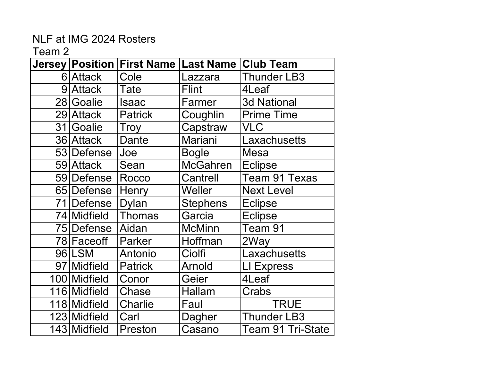|    |               | Jersey   Position   First Name   Last Name   Club Team |                 |                    |
|----|---------------|--------------------------------------------------------|-----------------|--------------------|
|    | 6 Attack      | Cole                                                   | Lazzara         | <b>Thunder LB3</b> |
| 9  | <b>Attack</b> | Tate                                                   | <b>Flint</b>    | 4Leaf              |
|    | 28 Goalie     | Isaac                                                  | Farmer          | <b>3d National</b> |
|    | 29 Attack     | <b>Patrick</b>                                         | Coughlin        | <b>Prime Time</b>  |
| 31 | Goalie        | Troy                                                   | Capstraw        | <b>VLC</b>         |
|    | 36 Attack     | <b>Dante</b>                                           | Mariani         | Laxachusetts       |
|    | 53 Defense    | Joe                                                    | <b>Bogle</b>    | Mesa               |
|    | 59 Attack     | Sean                                                   | <b>McGahren</b> | <b>Eclipse</b>     |
|    | 59 Defense    | Rocco                                                  | Cantrell        | Team 91 Texas      |
|    | 65 Defense    | Henry                                                  | Weller          | <b>Next Level</b>  |
|    | 71 Defense    | <b>Dylan</b>                                           | <b>Stephens</b> | <b>Eclipse</b>     |
|    | 74 Midfield   | Thomas                                                 | Garcia          | <b>Eclipse</b>     |
|    | 75 Defense    | Aidan                                                  | <b>McMinn</b>   | Team 91            |
|    | 78 Faceoff    | Parker                                                 | Hoffman         | 2Way               |
|    | 96 LSM        | Antonio                                                | Ciolfi          | Laxachusetts       |
|    | 97 Midfield   | <b>Patrick</b>                                         | Arnold          | LI Express         |
|    | 100 Midfield  | Conor                                                  | Geier           | 4Leaf              |
|    | 116 Midfield  | Chase                                                  | <b>Hallam</b>   | Crabs              |
|    | 118 Midfield  | Charlie                                                | Faul            | <b>TRUE</b>        |
|    | 123 Midfield  | Carl                                                   | Dagher          | <b>Thunder LB3</b> |
|    | 143 Midfield  | Preston                                                | Casano          | Team 91 Tri-State  |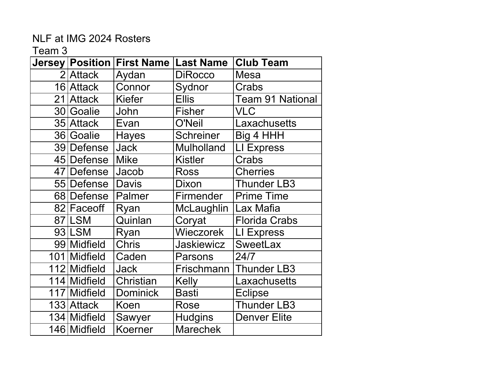|              | Jersey   Position   First Name | <b>Last Name</b>  | <b>Club Team</b>        |
|--------------|--------------------------------|-------------------|-------------------------|
| 2 Attack     | Aydan                          | <b>DiRocco</b>    | Mesa                    |
| 16 Attack    | Connor                         | Sydnor            | Crabs                   |
| 21 Attack    | <b>Kiefer</b>                  | <b>Ellis</b>      | <b>Team 91 National</b> |
| 30 Goalie    | John                           | <b>Fisher</b>     | <b>VLC</b>              |
| 35 Attack    | Evan                           | <b>O'Neil</b>     | Laxachusetts            |
| 36 Goalie    | <b>Hayes</b>                   | <b>Schreiner</b>  | Big 4 HHH               |
| 39 Defense   | <b>Jack</b>                    | <b>Mulholland</b> | <b>LI Express</b>       |
| 45 Defense   | <b>Mike</b>                    | <b>Kistler</b>    | Crabs                   |
| 47 Defense   | Jacob                          | <b>Ross</b>       | <b>Cherries</b>         |
| 55 Defense   | <b>Davis</b>                   | Dixon             | <b>Thunder LB3</b>      |
| 68 Defense   | Palmer                         | Firmender         | <b>Prime Time</b>       |
| 82 Faceoff   | Ryan                           | McLaughlin        | Lax Mafia               |
| 87 LSM       | Quinlan                        | Coryat            | <b>Florida Crabs</b>    |
| 93 LSM       | Ryan                           | Wieczorek         | LI Express              |
| 99 Midfield  | <b>Chris</b>                   | <b>Jaskiewicz</b> | <b>SweetLax</b>         |
| 101 Midfield | Caden                          | Parsons           | 24/7                    |
| 112 Midfield | <b>Jack</b>                    | Frischmann        | <b>Thunder LB3</b>      |
| 114 Midfield | Christian                      | Kelly             | Laxachusetts            |
| 117 Midfield | <b>Dominick</b>                | Basti             | <b>Eclipse</b>          |
| 133 Attack   | Koen                           | Rose              | <b>Thunder LB3</b>      |
| 134 Midfield | Sawyer                         | <b>Hudgins</b>    | <b>Denver Elite</b>     |
| 146 Midfield | Koerner                        | <b>Marechek</b>   |                         |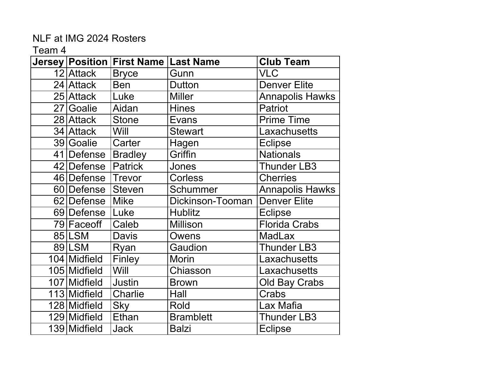|              | Jersey Position First Name Last Name |                  | <b>Club Team</b>       |
|--------------|--------------------------------------|------------------|------------------------|
| 12 Attack    | <b>Bryce</b>                         | Gunn             | VLC                    |
| 24 Attack    | <b>Ben</b>                           | <b>Dutton</b>    | <b>Denver Elite</b>    |
| 25 Attack    | Luke                                 | <b>Miller</b>    | <b>Annapolis Hawks</b> |
| 27 Goalie    | Aidan                                | <b>Hines</b>     | <b>Patriot</b>         |
| 28 Attack    | <b>Stone</b>                         | Evans            | <b>Prime Time</b>      |
| 34 Attack    | Will                                 | <b>Stewart</b>   | .axachusetts           |
| 39 Goalie    | Carter                               | Hagen            | <b>Eclipse</b>         |
| 41 Defense   | Bradley                              | Griffin          | <b>Nationals</b>       |
| 42 Defense   | <b>Patrick</b>                       | Jones            | <b>Thunder LB3</b>     |
| 46 Defense   | Trevor                               | <b>Corless</b>   | <b>Cherries</b>        |
| 60 Defense   | <b>Steven</b>                        | Schummer         | <b>Annapolis Hawks</b> |
| 62 Defense   | <b>Mike</b>                          | Dickinson-Tooman | <b>Denver Elite</b>    |
| 69 Defense   | Luke                                 | <b>Hublitz</b>   | <b>Eclipse</b>         |
| 79 Faceoff   | Caleb                                | <b>Millison</b>  | <b>Florida Crabs</b>   |
| 85 LSM       | <b>Davis</b>                         | Owens            | <b>MadLax</b>          |
| 89 LSM       | Ryan                                 | Gaudion          | <b>Thunder LB3</b>     |
| 104 Midfield | Finley                               | <b>Morin</b>     | .axachusetts           |
| 105 Midfield | Will                                 | Chiasson         | Laxachusetts           |
| 107 Midfield | Justin                               | <b>Brown</b>     | <b>Old Bay Crabs</b>   |
| 113 Midfield | <b>Charlie</b>                       | Hall             | Crabs                  |
| 128 Midfield | <b>Sky</b>                           | Rold             | Lax Mafia              |
| 129 Midfield | Ethan                                | <b>Bramblett</b> | <b>Thunder LB3</b>     |
| 139 Midfield | <b>Jack</b>                          | <b>Balzi</b>     | <b>Eclipse</b>         |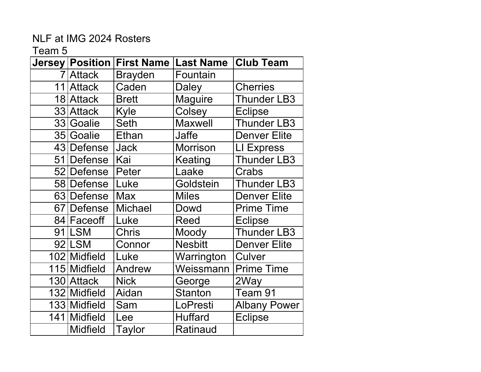| <b>Jersey   Position  </b> | <b>First Name</b> | <b>Last Name</b> | <b>Club Team</b>    |
|----------------------------|-------------------|------------------|---------------------|
| 7 Attack                   | <b>Brayden</b>    | Fountain         |                     |
| 11 Attack                  | Caden             | <b>Daley</b>     | <b>Cherries</b>     |
| 18 Attack                  | <b>Brett</b>      | <b>Maguire</b>   | <b>Thunder LB3</b>  |
| 33 Attack                  | Kyle              | Colsey           | <b>Eclipse</b>      |
| 33 Goalie                  | <b>Seth</b>       | <b>Maxwell</b>   | <b>Thunder LB3</b>  |
| 35 Goalie                  | Ethan             | Jaffe            | <b>Denver Elite</b> |
| 43 Defense                 | <b>Jack</b>       | <b>Morrison</b>  | LI Express          |
| 51 Defense                 | Kai               | Keating          | <b>Thunder LB3</b>  |
| 52 Defense                 | Peter             | Laake            | Crabs               |
| 58 Defense                 | Luke              | Goldstein        | <b>Thunder LB3</b>  |
| 63 Defense                 | <b>Max</b>        | <b>Miles</b>     | <b>Denver Elite</b> |
| 67 Defense                 | <b>Michael</b>    | Dowd             | <b>Prime Time</b>   |
| 84 Faceoff                 | Luke              | Reed             | <b>Eclipse</b>      |
| 91 LSM                     | <b>Chris</b>      | Moody            | <b>Thunder LB3</b>  |
| 92 LSM                     | Connor            | <b>Nesbitt</b>   | <b>Denver Elite</b> |
| 102 Midfield               | Luke              | Warrington       | Culver              |
| 115 Midfield               | Andrew            | Weissmann        | <b>Prime Time</b>   |
| 130 Attack                 | <b>Nick</b>       | George           | 2Way                |
| 132 Midfield               | Aidan             | <b>Stanton</b>   | Team 91             |
| 133 Midfield               | Sam               | LoPresti         | <b>Albany Power</b> |
| 141 Midfield               | Lee               | <b>Huffard</b>   | <b>Eclipse</b>      |
| <b>Midfield</b>            | Taylor            | Ratinaud         |                     |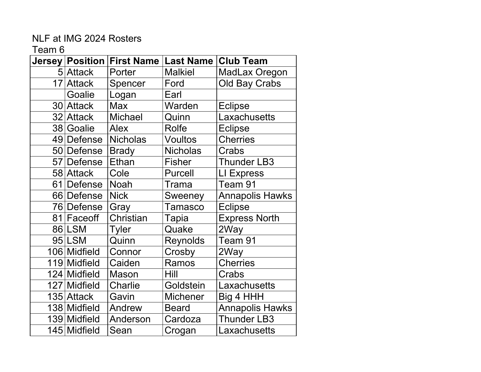| Jersey       |                 |                 | <b>Club Team</b>                |
|--------------|-----------------|-----------------|---------------------------------|
| 5 Attack     | Porter          | <b>Malkiel</b>  | MadLax Oregon                   |
| 17 Attack    | Spencer         | Ford            | <b>Old Bay Crabs</b>            |
| Goalie       | Logan           | Earl            |                                 |
| 30 Attack    | <b>Max</b>      | Warden          | <b>Eclipse</b>                  |
| 32 Attack    | <b>Michael</b>  | Quinn           | Laxachusetts                    |
| 38 Goalie    | <b>Alex</b>     | Rolfe           | <b>Eclipse</b>                  |
| 49 Defense   | <b>Nicholas</b> | <b>Voultos</b>  | <b>Cherries</b>                 |
| 50 Defense   | <b>Brady</b>    | <b>Nicholas</b> | Crabs                           |
| 57 Defense   | Ethan           | <b>Fisher</b>   | <b>Thunder LB3</b>              |
| 58 Attack    | Cole            | Purcell         | LI Express                      |
| 61 Defense   | <b>Noah</b>     | Trama           | Team 91                         |
| 66 Defense   | <b>Nick</b>     | Sweeney         | <b>Annapolis Hawks</b>          |
| 76 Defense   | Gray            | Tamasco         | <b>Eclipse</b>                  |
| 81 Faceoff   | Christian       | Tapia           | <b>Express North</b>            |
| 86 LSM       | Tyler           | Quake           | 2Way                            |
| 95 LSM       | Quinn           | Reynolds        | Team 91                         |
| 106 Midfield | Connor          | Crosby          | 2Way                            |
| 119 Midfield | Caiden          | Ramos           | <b>Cherries</b>                 |
| 124 Midfield | <b>Mason</b>    | Hill            | Crabs                           |
| 127 Midfield | <b>Charlie</b>  | Goldstein       | Laxachusetts                    |
| 135 Attack   | Gavin           | <b>Michener</b> | Big 4 HHH                       |
| 138 Midfield | Andrew          | <b>Beard</b>    | <b>Annapolis Hawks</b>          |
| 139 Midfield | Anderson        | Cardoza         | <b>Thunder LB3</b>              |
| 145 Midfield | Sean            | Crogan          | Laxachusetts                    |
|              |                 | <b>Position</b> | <b>First Name   Last Name  </b> |